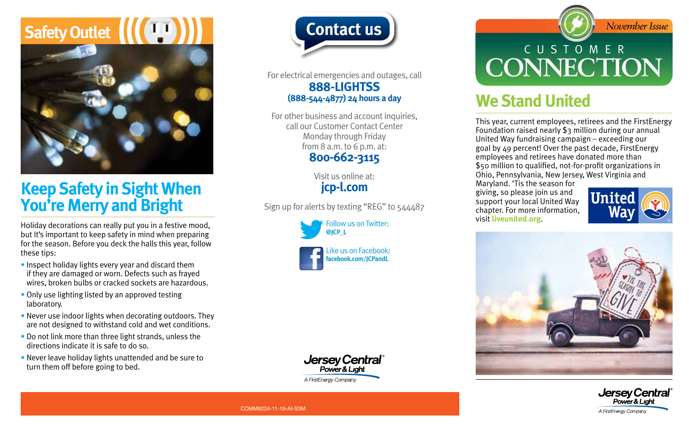# **Safety Outlet**



#### **Keep Safety in Sight When You're Merry and Bright**

Holiday decorations can really put you in a festive mood, but It's important to keep safety in mind when preparing for the season. Before you deck the halls this year, follow these tips:

- Inspect holiday lights every year and discard them if they are damaged or worn. Defects such as frayed wires, broken bulbs or cracked sockets are hazardous.
- Only use lighting listed by an approved testing laboratory.
- Never use indoor lights when decorating outdoors. They are not designed to withstand cold and wet conditions.
- Do not link more than three light strands, unless the directions indicate it is safe to do so.
- Never leave holiday lights unattended and be sure to turn them off before going to bed.



For electrical emergencies and outages, call **888-LIGHTSS (888-544-4877) 24 hours a day**

For other business and account inquiries, call our Customer Contact Center Monday through Friday from 8 a.m. to 6 p.m. at: **800-662-3115**

> Visit us online at: **jcp-l.com**

Sign up for alerts by texting "REG" to 544487

Follow us on Twitter: **@JCP\_L**





*November Issue* CUSTOMER **CONNECTION**

### **We Stand United**

This year, current employees, retirees and the FirstEnergy Foundation raised nearly \$3 million during our annual United Way fundraising campaign – exceeding our goal by 49 percent! Over the past decade, FirstEnergy employees and retirees have donated more than \$50 million to qualified, not-for-profit organizations in Ohio, Pennsylvania, New Jersey, West Virginia and

Maryland. 'Tis the season for giving, so please join us and support your local United Way chapter. For more information, visit **liveunited.org**.







COMM9224-11-19-AI-S3M